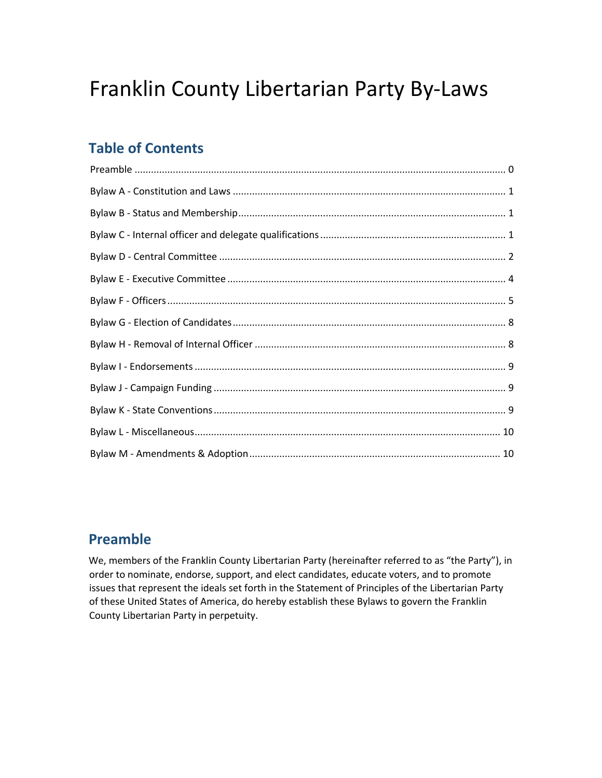# Franklin County Libertarian Party By-Laws

# **Table of Contents**

## **Preamble**

We, members of the Franklin County Libertarian Party (hereinafter referred to as "the Party"), in order to nominate, endorse, support, and elect candidates, educate voters, and to promote issues that represent the ideals set forth in the Statement of Principles of the Libertarian Party of these United States of America, do hereby establish these Bylaws to govern the Franklin County Libertarian Party in perpetuity.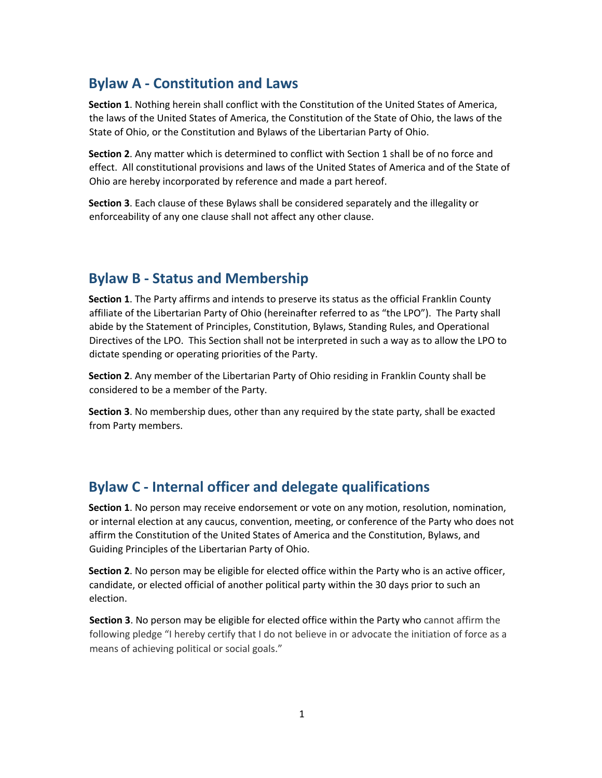### **Bylaw A - Constitution and Laws**

**Section 1**. Nothing herein shall conflict with the Constitution of the United States of America, the laws of the United States of America, the Constitution of the State of Ohio, the laws of the State of Ohio, or the Constitution and Bylaws of the Libertarian Party of Ohio.

**Section 2**. Any matter which is determined to conflict with Section 1 shall be of no force and effect. All constitutional provisions and laws of the United States of America and of the State of Ohio are hereby incorporated by reference and made a part hereof.

**Section 3**. Each clause of these Bylaws shall be considered separately and the illegality or enforceability of any one clause shall not affect any other clause.

### **Bylaw B - Status and Membership**

**Section 1**. The Party affirms and intends to preserve its status as the official Franklin County affiliate of the Libertarian Party of Ohio (hereinafter referred to as "the LPO"). The Party shall abide by the Statement of Principles, Constitution, Bylaws, Standing Rules, and Operational Directives of the LPO. This Section shall not be interpreted in such a way as to allow the LPO to dictate spending or operating priorities of the Party.

**Section 2**. Any member of the Libertarian Party of Ohio residing in Franklin County shall be considered to be a member of the Party.

**Section 3**. No membership dues, other than any required by the state party, shall be exacted from Party members.

### **Bylaw C - Internal officer and delegate qualifications**

**Section 1**. No person may receive endorsement or vote on any motion, resolution, nomination, or internal election at any caucus, convention, meeting, or conference of the Party who does not affirm the Constitution of the United States of America and the Constitution, Bylaws, and Guiding Principles of the Libertarian Party of Ohio.

**Section 2**. No person may be eligible for elected office within the Party who is an active officer, candidate, or elected official of another political party within the 30 days prior to such an election.

**Section 3**. No person may be eligible for elected office within the Party who cannot affirm the following pledge "I hereby certify that I do not believe in or advocate the initiation of force as a means of achieving political or social goals."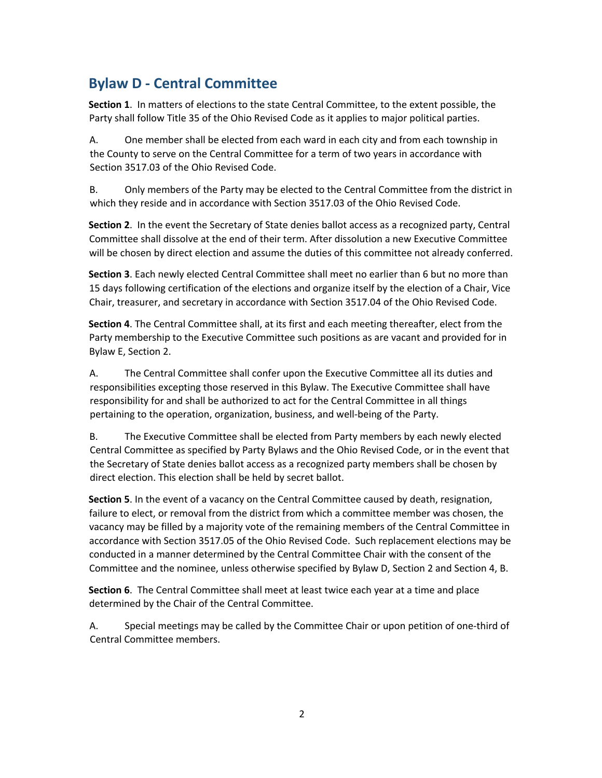# **Bylaw D - Central Committee**

**Section 1**. In matters of elections to the state Central Committee, to the extent possible, the Party shall follow Title 35 of the Ohio Revised Code as it applies to major political parties.

A. One member shall be elected from each ward in each city and from each township in the County to serve on the Central Committee for a term of two years in accordance with Section 3517.03 of the Ohio Revised Code.

B. Only members of the Party may be elected to the Central Committee from the district in which they reside and in accordance with Section 3517.03 of the Ohio Revised Code.

**Section 2**. In the event the Secretary of State denies ballot access as a recognized party, Central Committee shall dissolve at the end of their term. After dissolution a new Executive Committee will be chosen by direct election and assume the duties of this committee not already conferred.

**Section 3**. Each newly elected Central Committee shall meet no earlier than 6 but no more than 15 days following certification of the elections and organize itself by the election of a Chair, Vice Chair, treasurer, and secretary in accordance with Section 3517.04 of the Ohio Revised Code.

**Section 4**. The Central Committee shall, at its first and each meeting thereafter, elect from the Party membership to the Executive Committee such positions as are vacant and provided for in Bylaw E, Section 2.

A. The Central Committee shall confer upon the Executive Committee all its duties and responsibilities excepting those reserved in this Bylaw. The Executive Committee shall have responsibility for and shall be authorized to act for the Central Committee in all things pertaining to the operation, organization, business, and well-being of the Party.

B. The Executive Committee shall be elected from Party members by each newly elected Central Committee as specified by Party Bylaws and the Ohio Revised Code, or in the event that the Secretary of State denies ballot access as a recognized party members shall be chosen by direct election. This election shall be held by secret ballot.

**Section 5**. In the event of a vacancy on the Central Committee caused by death, resignation, failure to elect, or removal from the district from which a committee member was chosen, the vacancy may be filled by a majority vote of the remaining members of the Central Committee in accordance with Section 3517.05 of the Ohio Revised Code. Such replacement elections may be conducted in a manner determined by the Central Committee Chair with the consent of the Committee and the nominee, unless otherwise specified by Bylaw D, Section 2 and Section 4, B.

**Section 6**. The Central Committee shall meet at least twice each year at a time and place determined by the Chair of the Central Committee.

A. Special meetings may be called by the Committee Chair or upon petition of one-third of Central Committee members.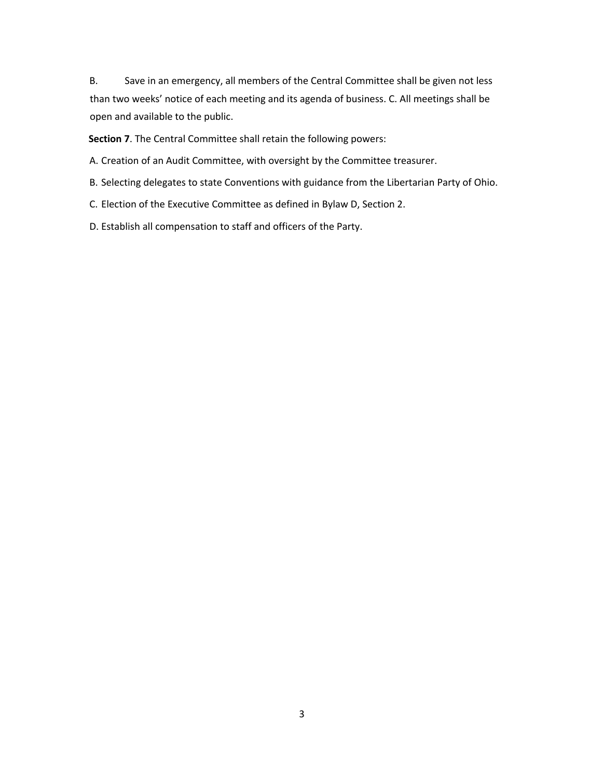B. Save in an emergency, all members of the Central Committee shall be given not less than two weeks' notice of each meeting and its agenda of business. C. All meetings shall be open and available to the public.

**Section 7**. The Central Committee shall retain the following powers:

A. Creation of an Audit Committee, with oversight by the Committee treasurer.

- B. Selecting delegates to state Conventions with guidance from the Libertarian Party of Ohio.
- C. Election of the Executive Committee as defined in Bylaw D, Section 2.
- D. Establish all compensation to staff and officers of the Party.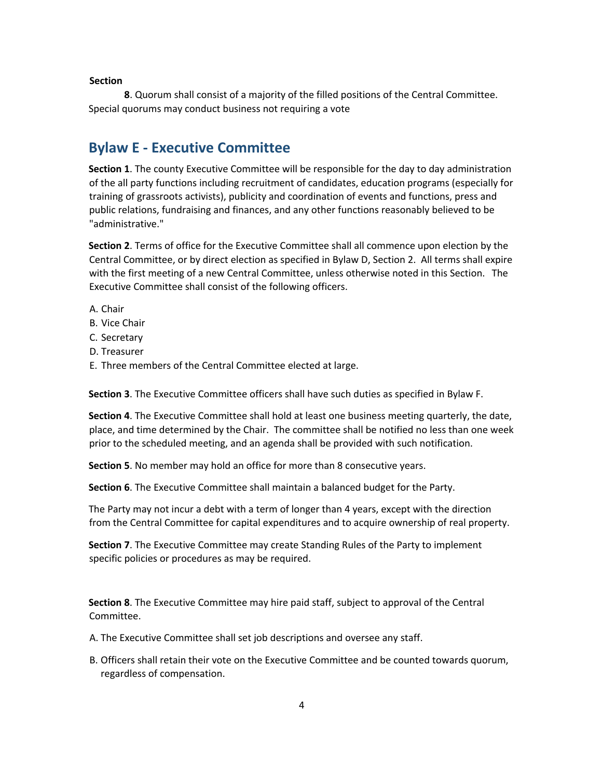**8**. Quorum shall consist of a majority of the filled positions of the Central Committee. Special quorums may conduct business not requiring a vote

#### **Bylaw E - Executive Committee**

**Section 1**. The county Executive Committee will be responsible for the day to day administration of the all party functions including recruitment of candidates, education programs (especially for training of grassroots activists), publicity and coordination of events and functions, press and public relations, fundraising and finances, and any other functions reasonably believed to be "administrative."

**Section 2**. Terms of office for the Executive Committee shall all commence upon election by the Central Committee, or by direct election as specified in Bylaw D, Section 2. All terms shall expire with the first meeting of a new Central Committee, unless otherwise noted in this Section. The Executive Committee shall consist of the following officers.

- A. Chair
- B. Vice Chair
- C. Secretary
- D. Treasurer
- E. Three members of the Central Committee elected at large.

**Section 3**. The Executive Committee officers shall have such duties as specified in Bylaw F.

**Section 4**. The Executive Committee shall hold at least one business meeting quarterly, the date, place, and time determined by the Chair. The committee shall be notified no less than one week prior to the scheduled meeting, and an agenda shall be provided with such notification.

**Section 5**. No member may hold an office for more than 8 consecutive years.

**Section 6**. The Executive Committee shall maintain a balanced budget for the Party.

The Party may not incur a debt with a term of longer than 4 years, except with the direction from the Central Committee for capital expenditures and to acquire ownership of real property.

**Section 7**. The Executive Committee may create Standing Rules of the Party to implement specific policies or procedures as may be required.

**Section 8**. The Executive Committee may hire paid staff, subject to approval of the Central Committee.

- A. The Executive Committee shall set job descriptions and oversee any staff.
- B. Officers shall retain their vote on the Executive Committee and be counted towards quorum, regardless of compensation.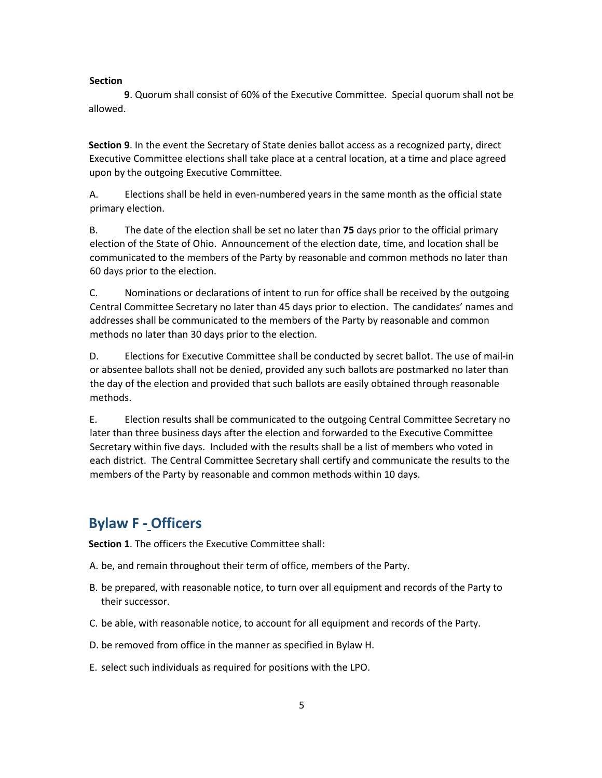**9**. Quorum shall consist of 60% of the Executive Committee. Special quorum shall not be allowed.

**Section 9**. In the event the Secretary of State denies ballot access as a recognized party, direct Executive Committee elections shall take place at a central location, at a time and place agreed upon by the outgoing Executive Committee.

A. Elections shall be held in even-numbered years in the same month as the official state primary election.

B. The date of the election shall be set no later than **75** days prior to the official primary election of the State of Ohio. Announcement of the election date, time, and location shall be communicated to the members of the Party by reasonable and common methods no later than 60 days prior to the election.

C. Nominations or declarations of intent to run for office shall be received by the outgoing Central Committee Secretary no later than 45 days prior to election. The candidates' names and addresses shall be communicated to the members of the Party by reasonable and common methods no later than 30 days prior to the election.

D. Elections for Executive Committee shall be conducted by secret ballot. The use of mail-in or absentee ballots shall not be denied, provided any such ballots are postmarked no later than the day of the election and provided that such ballots are easily obtained through reasonable methods.

E. Election results shall be communicated to the outgoing Central Committee Secretary no later than three business days after the election and forwarded to the Executive Committee Secretary within five days. Included with the results shall be a list of members who voted in each district. The Central Committee Secretary shall certify and communicate the results to the members of the Party by reasonable and common methods within 10 days.

### **Bylaw F - Officers**

**Section 1**. The officers the Executive Committee shall:

- A. be, and remain throughout their term of office, members of the Party.
- B. be prepared, with reasonable notice, to turn over all equipment and records of the Party to their successor.
- C. be able, with reasonable notice, to account for all equipment and records of the Party.
- D. be removed from office in the manner as specified in Bylaw H.
- E. select such individuals as required for positions with the LPO.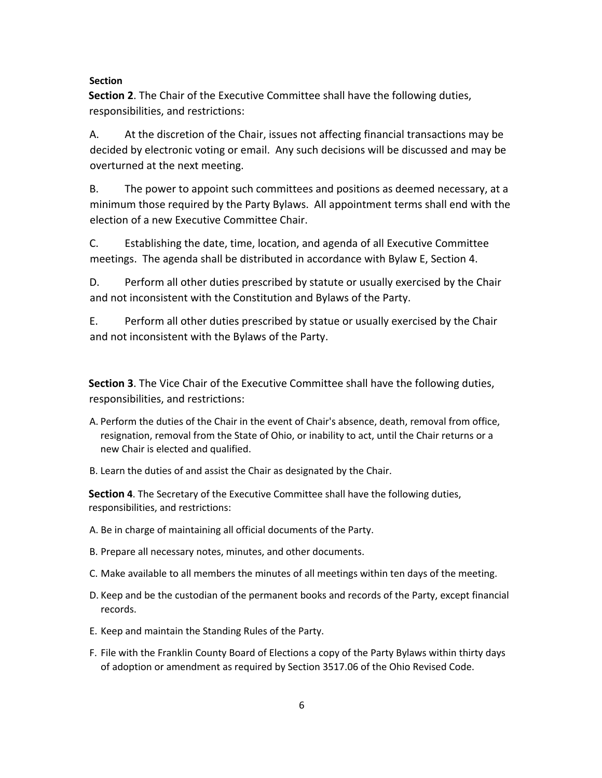**Section 2**. The Chair of the Executive Committee shall have the following duties, responsibilities, and restrictions:

A. At the discretion of the Chair, issues not affecting financial transactions may be decided by electronic voting or email. Any such decisions will be discussed and may be overturned at the next meeting.

B. The power to appoint such committees and positions as deemed necessary, at a minimum those required by the Party Bylaws. All appointment terms shall end with the election of a new Executive Committee Chair.

C. Establishing the date, time, location, and agenda of all Executive Committee meetings. The agenda shall be distributed in accordance with Bylaw E, Section 4.

D. Perform all other duties prescribed by statute or usually exercised by the Chair and not inconsistent with the Constitution and Bylaws of the Party.

E. Perform all other duties prescribed by statue or usually exercised by the Chair and not inconsistent with the Bylaws of the Party.

**Section 3**. The Vice Chair of the Executive Committee shall have the following duties, responsibilities, and restrictions:

- A. Perform the duties of the Chair in the event of Chair's absence, death, removal from office, resignation, removal from the State of Ohio, or inability to act, until the Chair returns or a new Chair is elected and qualified.
- B. Learn the duties of and assist the Chair as designated by the Chair.

**Section 4**. The Secretary of the Executive Committee shall have the following duties, responsibilities, and restrictions:

- A. Be in charge of maintaining all official documents of the Party.
- B. Prepare all necessary notes, minutes, and other documents.
- C. Make available to all members the minutes of all meetings within ten days of the meeting.
- D. Keep and be the custodian of the permanent books and records of the Party, except financial records.
- E. Keep and maintain the Standing Rules of the Party.
- F. File with the Franklin County Board of Elections a copy of the Party Bylaws within thirty days of adoption or amendment as required by Section 3517.06 of the Ohio Revised Code.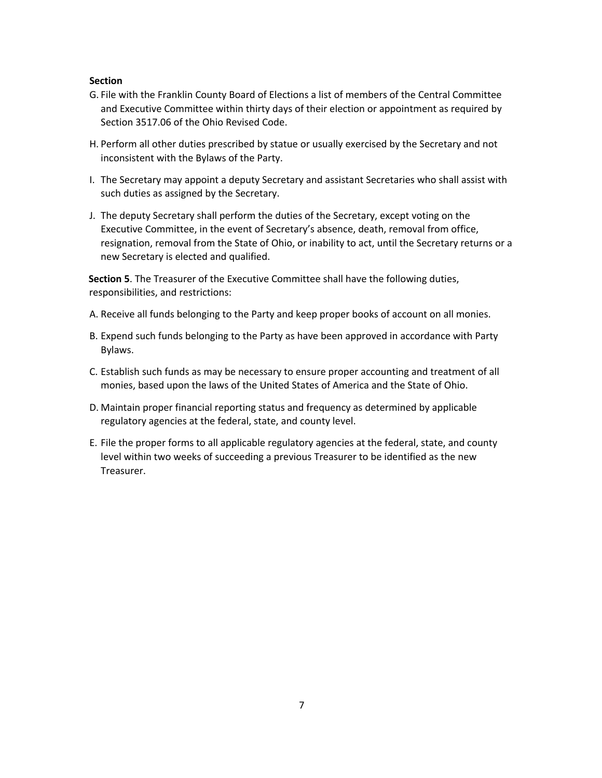- G. File with the Franklin County Board of Elections a list of members of the Central Committee and Executive Committee within thirty days of their election or appointment as required by Section 3517.06 of the Ohio Revised Code.
- H. Perform all other duties prescribed by statue or usually exercised by the Secretary and not inconsistent with the Bylaws of the Party.
- I. The Secretary may appoint a deputy Secretary and assistant Secretaries who shall assist with such duties as assigned by the Secretary.
- J. The deputy Secretary shall perform the duties of the Secretary, except voting on the Executive Committee, in the event of Secretary's absence, death, removal from office, resignation, removal from the State of Ohio, or inability to act, until the Secretary returns or a new Secretary is elected and qualified.

**Section 5**. The Treasurer of the Executive Committee shall have the following duties, responsibilities, and restrictions:

- A. Receive all funds belonging to the Party and keep proper books of account on all monies.
- B. Expend such funds belonging to the Party as have been approved in accordance with Party Bylaws.
- C. Establish such funds as may be necessary to ensure proper accounting and treatment of all monies, based upon the laws of the United States of America and the State of Ohio.
- D. Maintain proper financial reporting status and frequency as determined by applicable regulatory agencies at the federal, state, and county level.
- E. File the proper forms to all applicable regulatory agencies at the federal, state, and county level within two weeks of succeeding a previous Treasurer to be identified as the new Treasurer.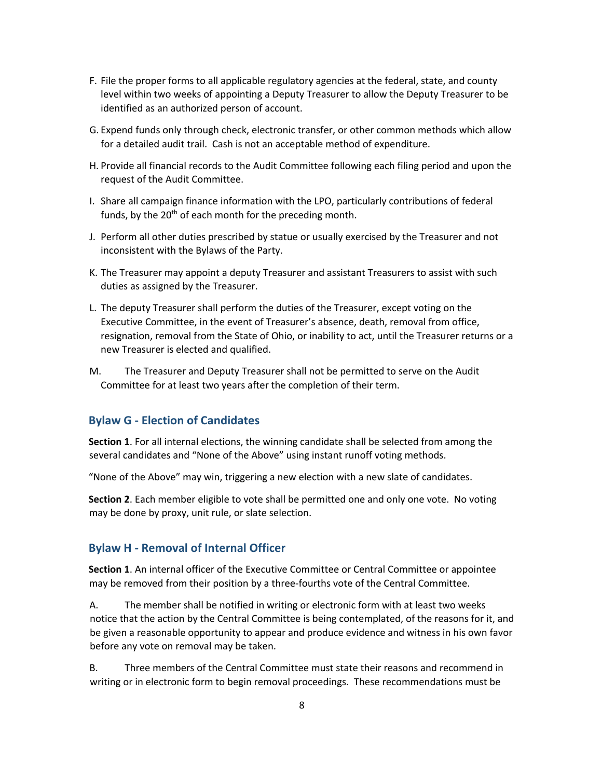- F. File the proper forms to all applicable regulatory agencies at the federal, state, and county level within two weeks of appointing a Deputy Treasurer to allow the Deputy Treasurer to be identified as an authorized person of account.
- G. Expend funds only through check, electronic transfer, or other common methods which allow for a detailed audit trail. Cash is not an acceptable method of expenditure.
- H. Provide all financial records to the Audit Committee following each filing period and upon the request of the Audit Committee.
- I. Share all campaign finance information with the LPO, particularly contributions of federal funds, by the  $20<sup>th</sup>$  of each month for the preceding month.
- J. Perform all other duties prescribed by statue or usually exercised by the Treasurer and not inconsistent with the Bylaws of the Party.
- K. The Treasurer may appoint a deputy Treasurer and assistant Treasurers to assist with such duties as assigned by the Treasurer.
- L. The deputy Treasurer shall perform the duties of the Treasurer, except voting on the Executive Committee, in the event of Treasurer's absence, death, removal from office, resignation, removal from the State of Ohio, or inability to act, until the Treasurer returns or a new Treasurer is elected and qualified.
- M. The Treasurer and Deputy Treasurer shall not be permitted to serve on the Audit Committee for at least two years after the completion of their term.

#### **Bylaw G - Election of Candidates**

**Section 1**. For all internal elections, the winning candidate shall be selected from among the several candidates and "None of the Above" using instant runoff voting methods.

"None of the Above" may win, triggering a new election with a new slate of candidates.

**Section 2**. Each member eligible to vote shall be permitted one and only one vote. No voting may be done by proxy, unit rule, or slate selection.

#### **Bylaw H - Removal of Internal Officer**

**Section 1**. An internal officer of the Executive Committee or Central Committee or appointee may be removed from their position by a three-fourths vote of the Central Committee.

A. The member shall be notified in writing or electronic form with at least two weeks notice that the action by the Central Committee is being contemplated, of the reasons for it, and be given a reasonable opportunity to appear and produce evidence and witness in his own favor before any vote on removal may be taken.

B. Three members of the Central Committee must state their reasons and recommend in writing or in electronic form to begin removal proceedings. These recommendations must be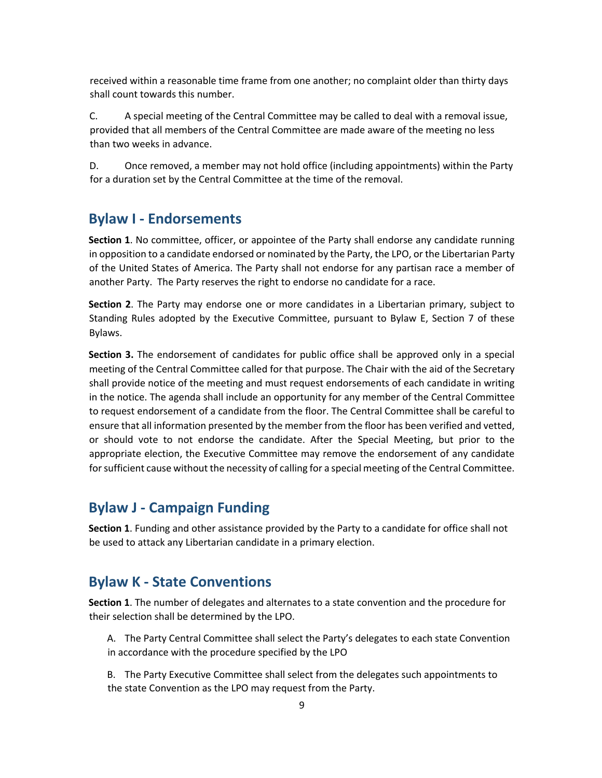received within a reasonable time frame from one another; no complaint older than thirty days shall count towards this number.

C. A special meeting of the Central Committee may be called to deal with a removal issue, provided that all members of the Central Committee are made aware of the meeting no less than two weeks in advance.

D. Once removed, a member may not hold office (including appointments) within the Party for a duration set by the Central Committee at the time of the removal.

### **Bylaw I - Endorsements**

**Section 1**. No committee, officer, or appointee of the Party shall endorse any candidate running in opposition to a candidate endorsed or nominated by the Party, the LPO, or the Libertarian Party of the United States of America. The Party shall not endorse for any partisan race a member of another Party. The Party reserves the right to endorse no candidate for a race.

**Section 2**. The Party may endorse one or more candidates in a Libertarian primary, subject to Standing Rules adopted by the Executive Committee, pursuant to Bylaw E, Section 7 of these Bylaws.

**Section 3.** The endorsement of candidates for public office shall be approved only in a special meeting of the Central Committee called for that purpose. The Chair with the aid of the Secretary shall provide notice of the meeting and must request endorsements of each candidate in writing in the notice. The agenda shall include an opportunity for any member of the Central Committee to request endorsement of a candidate from the floor. The Central Committee shall be careful to ensure that all information presented by the member from the floor has been verified and vetted, or should vote to not endorse the candidate. After the Special Meeting, but prior to the appropriate election, the Executive Committee may remove the endorsement of any candidate for sufficient cause without the necessity of calling for a special meeting of the Central Committee.

### **Bylaw J - Campaign Funding**

**Section 1**. Funding and other assistance provided by the Party to a candidate for office shall not be used to attack any Libertarian candidate in a primary election.

#### **Bylaw K - State Conventions**

**Section 1**. The number of delegates and alternates to a state convention and the procedure for their selection shall be determined by the LPO.

A. The Party Central Committee shall select the Party's delegates to each state Convention in accordance with the procedure specified by the LPO

B. The Party Executive Committee shall select from the delegates such appointments to the state Convention as the LPO may request from the Party.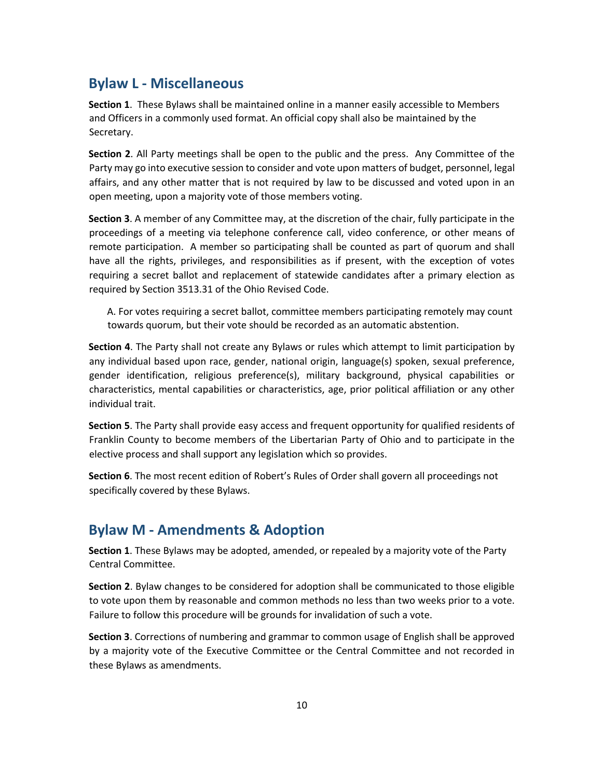### **Bylaw L - Miscellaneous**

**Section 1**. These Bylaws shall be maintained online in a manner easily accessible to Members and Officers in a commonly used format. An official copy shall also be maintained by the Secretary.

**Section 2**. All Party meetings shall be open to the public and the press. Any Committee of the Party may go into executive session to consider and vote upon matters of budget, personnel, legal affairs, and any other matter that is not required by law to be discussed and voted upon in an open meeting, upon a majority vote of those members voting.

**Section 3**. A member of any Committee may, at the discretion of the chair, fully participate in the proceedings of a meeting via telephone conference call, video conference, or other means of remote participation. A member so participating shall be counted as part of quorum and shall have all the rights, privileges, and responsibilities as if present, with the exception of votes requiring a secret ballot and replacement of statewide candidates after a primary election as required by Section 3513.31 of the Ohio Revised Code.

A. For votes requiring a secret ballot, committee members participating remotely may count towards quorum, but their vote should be recorded as an automatic abstention.

**Section 4**. The Party shall not create any Bylaws or rules which attempt to limit participation by any individual based upon race, gender, national origin, language(s) spoken, sexual preference, gender identification, religious preference(s), military background, physical capabilities or characteristics, mental capabilities or characteristics, age, prior political affiliation or any other individual trait.

**Section 5**. The Party shall provide easy access and frequent opportunity for qualified residents of Franklin County to become members of the Libertarian Party of Ohio and to participate in the elective process and shall support any legislation which so provides.

**Section 6**. The most recent edition of Robert's Rules of Order shall govern all proceedings not specifically covered by these Bylaws.

### **Bylaw M - Amendments & Adoption**

**Section 1**. These Bylaws may be adopted, amended, or repealed by a majority vote of the Party Central Committee.

**Section 2**. Bylaw changes to be considered for adoption shall be communicated to those eligible to vote upon them by reasonable and common methods no less than two weeks prior to a vote. Failure to follow this procedure will be grounds for invalidation of such a vote.

**Section 3**. Corrections of numbering and grammar to common usage of English shall be approved by a majority vote of the Executive Committee or the Central Committee and not recorded in these Bylaws as amendments.